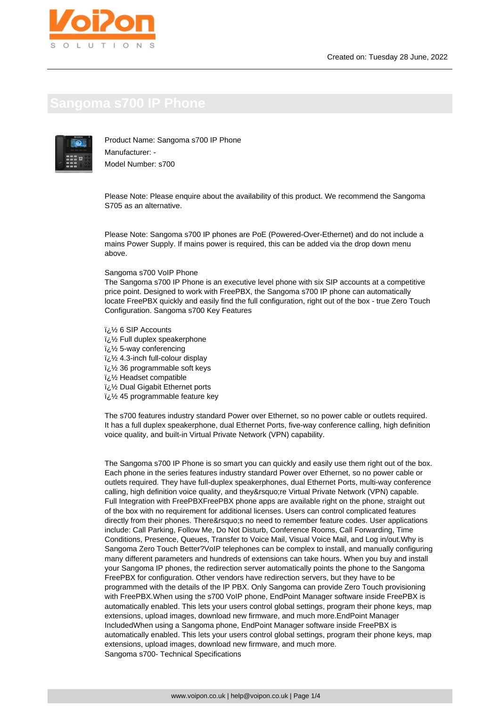

Product Name: Sangoma s700 IP Phone Manufacturer: - Model Number: s700

Please Note: Please enquire about the availability of this product. We recommend the Sangoma S705 as an alternative.

Please Note: Sangoma s700 IP phones are PoE (Powered-Over-Ethernet) and do not include a mains Power Supply. If mains power is required, this can be added via the drop down menu above.

Sangoma s700 VoIP Phone

The Sangoma s700 IP Phone is an executive level phone with six SIP accounts at a competitive price point. Designed to work with FreePBX, the Sangoma s700 IP phone can automatically locate FreePBX quickly and easily find the full configuration, right out of the box - true Zero Touch Configuration. Sangoma s700 Key Features

� 6 SIP Accounts  $i\lambda$  Full duplex speakerphone � 5-way conferencing  $\frac{1}{2}$ % 4.3-inch full-colour display  $\frac{1}{2}$  36 programmable soft keys i<sub>i</sub> 1/<sub>2</sub> Headset compatible  $\frac{1}{2}$  Dual Gigabit Ethernet ports  $\frac{1}{2}$  45 programmable feature key

The s700 features industry standard Power over Ethernet, so no power cable or outlets required. It has a full duplex speakerphone, dual Ethernet Ports, five-way conference calling, high definition voice quality, and built-in Virtual Private Network (VPN) capability.

The Sangoma s700 IP Phone is so smart you can quickly and easily use them right out of the box. Each phone in the series features industry standard Power over Ethernet, so no power cable or outlets required. They have full-duplex speakerphones, dual Ethernet Ports, multi-way conference calling, high definition voice quality, and they're Virtual Private Network (VPN) capable. Full Integration with FreePBXFreePBX phone apps are available right on the phone, straight out of the box with no requirement for additional licenses. Users can control complicated features directly from their phones. There' s no need to remember feature codes. User applications include: Call Parking, Follow Me, Do Not Disturb, Conference Rooms, Call Forwarding, Time Conditions, Presence, Queues, Transfer to Voice Mail, Visual Voice Mail, and Log in/out.Why is Sangoma Zero Touch Better?VoIP telephones can be complex to install, and manually configuring many different parameters and hundreds of extensions can take hours. When you buy and install your Sangoma IP phones, the redirection server automatically points the phone to the Sangoma FreePBX for configuration. Other vendors have redirection servers, but they have to be programmed with the details of the IP PBX. Only Sangoma can provide Zero Touch provisioning with FreePBX.When using the s700 VoIP phone, EndPoint Manager software inside FreePBX is automatically enabled. This lets your users control global settings, program their phone keys, map extensions, upload images, download new firmware, and much more.EndPoint Manager IncludedWhen using a Sangoma phone, EndPoint Manager software inside FreePBX is automatically enabled. This lets your users control global settings, program their phone keys, map extensions, upload images, download new firmware, and much more. Sangoma s700- Technical Specifications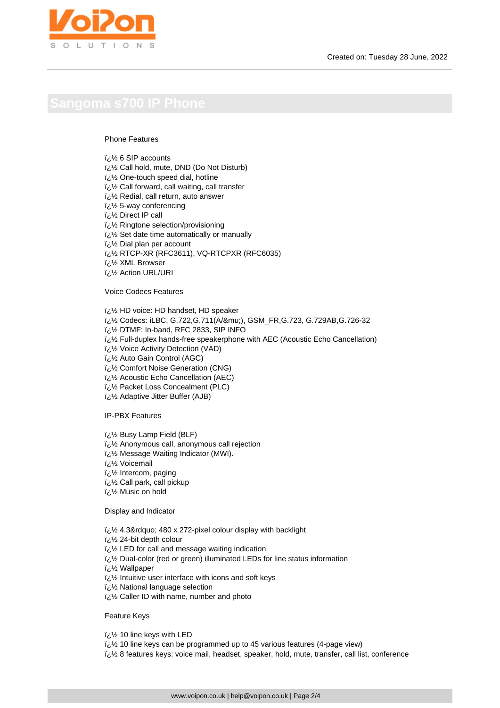### Phone Features

6 SIP accounts 2/ ¿i

- � Call hold, mute, DND (Do Not Disturb)
- $i\lambda$  One-touch speed dial, hotline
- $\frac{1}{2}$ زi Call forward, call waiting, call transfer
- $\frac{1}{2}$ /2 Redial, call return, auto answer
- $i\lambda$  5-way conferencing
- i<sub>i.</sub>1/<sub>2</sub> Direct IP call
- $\frac{1}{2}$ 's Ringtone selection/provisioning
- � Set date time automatically or manually
- � Dial plan per account
- � RTCP-XR (RFC3611), VQ-RTCPXR (RFC6035)
- � XML Browser
- � Action URL/URI

Voice Codecs Features

- � HD voice: HD handset, HD speaker
- *i*¿<sup>1</sup>/<sub>2</sub> Codecs: iLBC, G.722, G.711(A/&mu;), GSM\_FR, G.723, G.729AB, G.726-32
- � DTMF: In-band, RFC 2833, SIP INFO
- � Full-duplex hands-free speakerphone with AEC (Acoustic Echo Cancellation)
- � Voice Activity Detection (VAD)
- � Auto Gain Control (AGC)
- $\frac{1}{2}$ /<sub>2</sub> Comfort Noise Generation (CNG)
- $i\&i$ ة Acoustic Echo Cancellation (AEC)
- $i\lambda$ <sup>1</sup>/<sub>2</sub> Packet Loss Concealment (PLC)
- � Adaptive Jitter Buffer (AJB)

IP-PBX Features

- � Busy Lamp Field (BLF)
- $i\mathcal{V}_2$  Anonymous call, anonymous call rejection
- � Message Waiting Indicator (MWI).
- Voicemail ولائ
- i¿1/<sub>2</sub> Intercom, paging
- � Call park, call pickup
- � Music on hold

Display and Indicator

- $\frac{1}{2}$ % 4.3" 480 x 272-pixel colour display with backlight
- $\frac{1}{2}$ % 24-bit depth colour
- $i\lambda$  LED for call and message waiting indication
- iz 1/2 Dual-color (red or green) illuminated LEDs for line status information

i¿½ Wallpaper

- $\frac{1}{2}$ s Intuitive user interface with icons and soft keys
- $\frac{1}{2}$ ن National language selection
- � Caller ID with name, number and photo

Feature Keys

� 10 line keys with LED

- � 10 line keys can be programmed up to 45 various features (4-page view)
- <sup> $\mathbf{i}$ </sup>  $\mathbf{j}$  8 features keys: voice mail, headset, speaker, hold, mute, transfer, call list, conference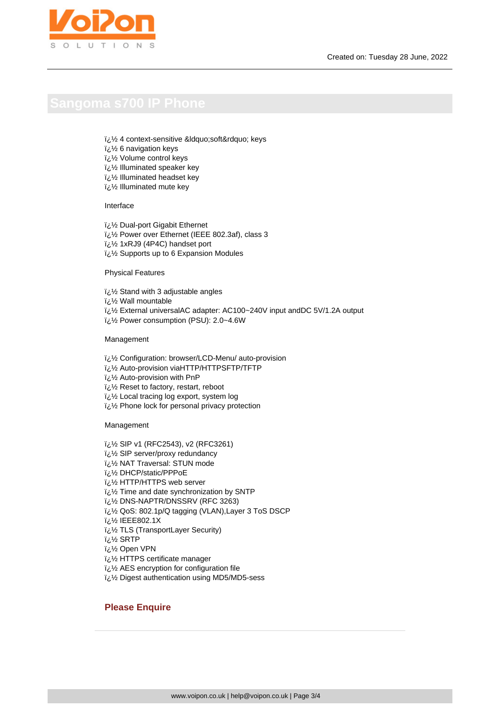- لَّ 1⁄2 4 context-sensitive &Idquo;soft" keys
- $i\lambda$ <sup>2</sup> 6 navigation keys
- � Volume control keys
- $i/2$  Illuminated speaker key
- $\frac{1}{2}$ ا lluminated headset key
- � Illuminated mute key

### Interface

- � Dual-port Gigabit Ethernet
- i¿1/2 Power over Ethernet (IEEE 802.3af), class 3
- � 1xRJ9 (4P4C) handset port
- � Supports up to 6 Expansion Modules

## Physical Features

- $\frac{1}{2}$ 's Stand with 3 adjustable angles
- � Wall mountable
- i¿1/2 External universalAC adapter: AC100~240V input andDC 5V/1.2A output
- 1¿1/2 Power consumption (PSU): 2.0~4.6W

### Management

- لأن 1⁄2 Configuration: browser/LCD-Menu/ auto-provision
- i<sub>i.</sub>% Auto-provision viaHTTP/HTTPSFTP/TFTP
- � Auto-provision with PnP
- $i\lambda$ ة, Reset to factory, restart, reboot
- $\frac{1}{2}$  Local tracing log export, system log
- $\frac{1}{2}$ ز/2 Phone lock for personal privacy protection

### Management

- � SIP v1 (RFC2543), v2 (RFC3261)
- $\frac{1}{2}$ 's SIP server/proxy redundancy
- � NAT Traversal: STUN mode
- DHCP/static/PPPoE
- لَّ  $\frac{1}{2}$  HTTP/HTTPS web server
- $\frac{1}{2}$  Time and date synchronization by SNTP
- � DNS-NAPTR/DNSSRV (RFC 3263)
- � QoS: 802.1p/Q tagging (VLAN),Layer 3 ToS DSCP
- كان i¿½ IEEE802.1X
- � TLS (TransportLayer Security)
- � SRTP
- ii/2 Open VPN
- $i\lambda$  HTTPS certificate manager
- $i\lambda$  AES encryption for configuration file
- لُّ Digest authentication using MD5/MD5-sess

# **Please Enquire**